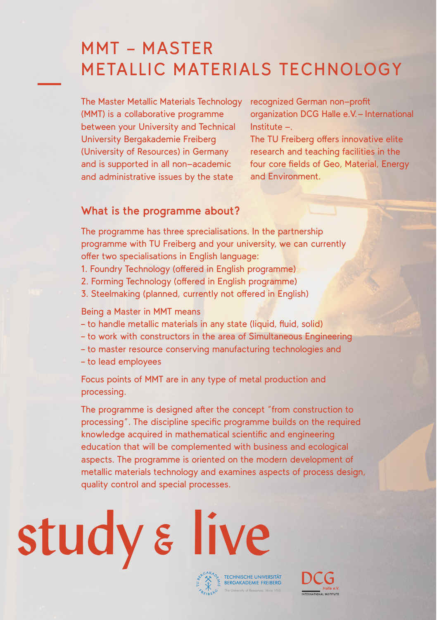### MMT – MASTER METALLIC MATERIALS TECHNOLOGY

The Master Metallic Materials Technology (MMT) is a collaborative programme between your University and Technical University Bergakademie Freiberg (University of Resources) in Germany and is supported in all non-academic and administrative issues by the state

recognized German non-profit organization DCG Halle e.V. - International Institute -.

The TU Freiberg offers innovative elite research and teaching facilities in the four core fields of Geo, Material, Energy and Environment.

#### **What is the programme about?**

The programme has three sprecialisations. In the partnership programme with TU Freiberg and your university, we can currently offer two specialisations in English language:

- 1. Foundry Technology (offered in English programme)
- 2. Forming Technology (offered in English programme)
- 3. Steelmaking (planned, currently not offered in English)

Being a Master in MMT means

- to handle metallic materials in any state (liquid, fluid, solid)
- to work with constructors in the area of Simultaneous Engineering
- to master resource conserving manufacturing technologies and
- to lead employees

Focus points of MMT are in any type of metal production and processing.

The programme is designed after the concept "from construction to processing". The discipline specific programme builds on the required knowledge acquired in mathematical scientific and engineering education that will be complemented with business and ecological aspects. The programme is oriented on the modern development of metallic materials technology and examines aspects of process design, quality control and special processes.

# study & live